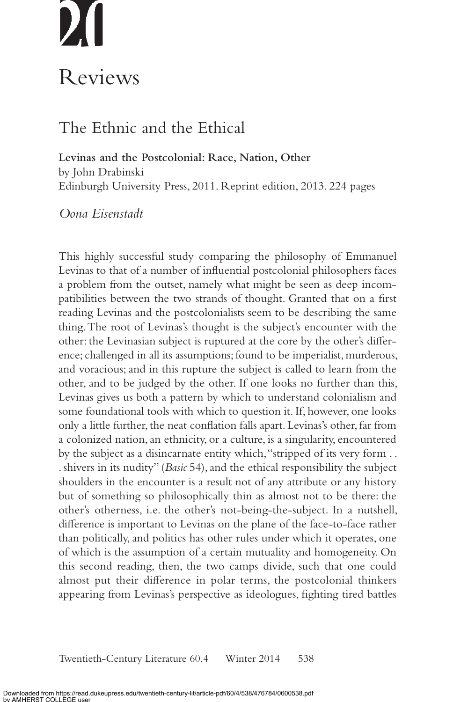# Reviews

# The Ethnic and the Ethical

**Levinas and the Postcolonial: Race, Nation, Other** by John Drabinski Edinburgh University Press, 2011. Reprint edition, 2013. 224 pages

### *Oona Eisenstadt*

This highly successful study comparing the philosophy of Emmanuel Levinas to that of a number of influential postcolonial philosophers faces a problem from the outset, namely what might be seen as deep incompatibilities between the two strands of thought. Granted that on a first reading Levinas and the postcolonialists seem to be describing the same thing. The root of Levinas's thought is the subject's encounter with the other: the Levinasian subject is ruptured at the core by the other's difference; challenged in all its assumptions; found to be imperialist, murderous, and voracious; and in this rupture the subject is called to learn from the other, and to be judged by the other. If one looks no further than this, Levinas gives us both a pattern by which to understand colonialism and some foundational tools with which to question it. If, however, one looks only a little further, the neat conflation falls apart. Levinas's other, far from a colonized nation, an ethnicity, or a culture, is a singularity, encountered by the subject as a disincarnate entity which, "stripped of its very form . . . shivers in its nudity" (*Basic* 54), and the ethical responsibility the subject shoulders in the encounter is a result not of any attribute or any history but of something so philosophically thin as almost not to be there: the other's otherness, i.e. the other's not-being-the-subject. In a nutshell, difference is important to Levinas on the plane of the face-to-face rather than politically, and politics has other rules under which it operates, one of which is the assumption of a certain mutuality and homogeneity. On this second reading, then, the two camps divide, such that one could almost put their difference in polar terms, the postcolonial thinkers appearing from Levinas's perspective as ideologues, fighting tired battles

538 Twentieth-Century Literature 60.4 Winter 2014 538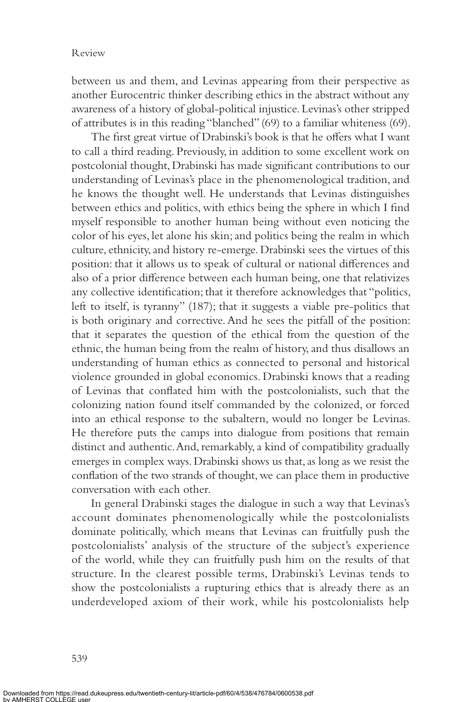### Review

between us and them, and Levinas appearing from their perspective as another Eurocentric thinker describing ethics in the abstract without any awareness of a history of global-political injustice. Levinas's other stripped of attributes is in this reading "blanched" (69) to a familiar whiteness (69).

 The first great virtue of Drabinski's book is that he offers what I want to call a third reading. Previously, in addition to some excellent work on postcolonial thought, Drabinski has made significant contributions to our understanding of Levinas's place in the phenomenological tradition, and he knows the thought well. He understands that Levinas distinguishes between ethics and politics, with ethics being the sphere in which I find myself responsible to another human being without even noticing the color of his eyes, let alone his skin; and politics being the realm in which culture, ethnicity, and history re-emerge. Drabinski sees the virtues of this position: that it allows us to speak of cultural or national differences and also of a prior difference between each human being, one that relativizes any collective identification; that it therefore acknowledges that "politics, left to itself, is tyranny" (187); that it suggests a viable pre-politics that is both originary and corrective. And he sees the pitfall of the position: that it separates the question of the ethical from the question of the ethnic, the human being from the realm of history, and thus disallows an understanding of human ethics as connected to personal and historical violence grounded in global economics. Drabinski knows that a reading of Levinas that conflated him with the postcolonialists, such that the colonizing nation found itself commanded by the colonized, or forced into an ethical response to the subaltern, would no longer be Levinas. He therefore puts the camps into dialogue from positions that remain distinct and authentic. And, remarkably, a kind of compatibility gradually emerges in complex ways. Drabinski shows us that, as long as we resist the conflation of the two strands of thought, we can place them in productive conversation with each other.

 In general Drabinski stages the dialogue in such a way that Levinas's account dominates phenomenologically while the postcolonialists dominate politically, which means that Levinas can fruitfully push the postcolonialists' analysis of the structure of the subject's experience of the world, while they can fruitfully push him on the results of that structure. In the clearest possible terms, Drabinski's Levinas tends to show the postcolonialists a rupturing ethics that is already there as an underdeveloped axiom of their work, while his postcolonialists help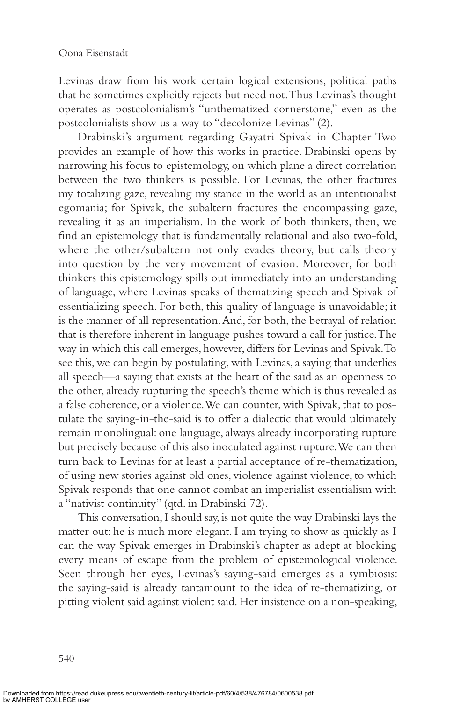Levinas draw from his work certain logical extensions, political paths that he sometimes explicitly rejects but need not. Thus Levinas's thought operates as postcolonialism's "unthematized cornerstone," even as the postcolonialists show us a way to "decolonize Levinas" (2).

 Drabinski's argument regarding Gayatri Spivak in Chapter Two provides an example of how this works in practice. Drabinski opens by narrowing his focus to epistemology, on which plane a direct correlation between the two thinkers is possible. For Levinas, the other fractures my totalizing gaze, revealing my stance in the world as an intentionalist egomania; for Spivak, the subaltern fractures the encompassing gaze, revealing it as an imperialism. In the work of both thinkers, then, we find an epistemology that is fundamentally relational and also two-fold, where the other/subaltern not only evades theory, but calls theory into question by the very movement of evasion. Moreover, for both thinkers this epistemology spills out immediately into an understanding of language, where Levinas speaks of thematizing speech and Spivak of essentializing speech. For both, this quality of language is unavoidable; it is the manner of all representation. And, for both, the betrayal of relation that is therefore inherent in language pushes toward a call for justice. The way in which this call emerges, however, differs for Levinas and Spivak. To see this, we can begin by postulating, with Levinas, a saying that underlies all speech—a saying that exists at the heart of the said as an openness to the other, already rupturing the speech's theme which is thus revealed as a false coherence, or a violence. We can counter, with Spivak, that to postulate the saying-in-the-said is to offer a dialectic that would ultimately remain monolingual: one language, always already incorporating rupture but precisely because of this also inoculated against rupture. We can then turn back to Levinas for at least a partial acceptance of re-thematization, of using new stories against old ones, violence against violence, to which Spivak responds that one cannot combat an imperialist essentialism with a "nativist continuity" (qtd. in Drabinski 72).

 This conversation, I should say, is not quite the way Drabinski lays the matter out: he is much more elegant. I am trying to show as quickly as I can the way Spivak emerges in Drabinski's chapter as adept at blocking every means of escape from the problem of epistemological violence. Seen through her eyes, Levinas's saying-said emerges as a symbiosis: the saying-said is already tantamount to the idea of re-thematizing, or pitting violent said against violent said. Her insistence on a non-speaking,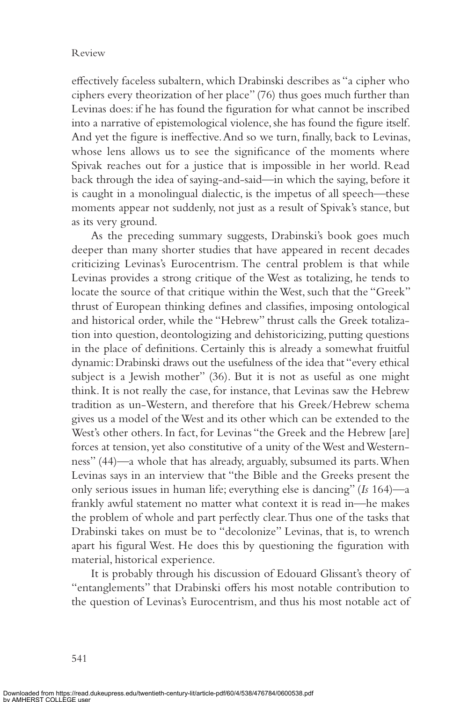### Review

effectively faceless subaltern, which Drabinski describes as "a cipher who ciphers every theorization of her place" (76) thus goes much further than Levinas does: if he has found the figuration for what cannot be inscribed into a narrative of epistemological violence, she has found the figure itself. And yet the figure is ineffective. And so we turn, finally, back to Levinas, whose lens allows us to see the significance of the moments where Spivak reaches out for a justice that is impossible in her world. Read back through the idea of saying-and-said—in which the saying, before it is caught in a monolingual dialectic, is the impetus of all speech—these moments appear not suddenly, not just as a result of Spivak's stance, but as its very ground.

 As the preceding summary suggests, Drabinski's book goes much deeper than many shorter studies that have appeared in recent decades criticizing Levinas's Eurocentrism. The central problem is that while Levinas provides a strong critique of the West as totalizing, he tends to locate the source of that critique within the West, such that the "Greek" thrust of European thinking defines and classifies, imposing ontological and historical order, while the "Hebrew" thrust calls the Greek totalization into question, deontologizing and dehistoricizing, putting questions in the place of definitions. Certainly this is already a somewhat fruitful dynamic: Drabinski draws out the usefulness of the idea that "every ethical subject is a Jewish mother" (36). But it is not as useful as one might think. It is not really the case, for instance, that Levinas saw the Hebrew tradition as un-Western, and therefore that his Greek/Hebrew schema gives us a model of the West and its other which can be extended to the West's other others. In fact, for Levinas "the Greek and the Hebrew [are] forces at tension, yet also constitutive of a unity of the West and Westernness" (44)—a whole that has already, arguably, subsumed its parts. When Levinas says in an interview that "the Bible and the Greeks present the only serious issues in human life; everything else is dancing" (*Is* 164)—a frankly awful statement no matter what context it is read in—he makes the problem of whole and part perfectly clear. Thus one of the tasks that Drabinski takes on must be to "decolonize" Levinas, that is, to wrench apart his figural West. He does this by questioning the figuration with material, historical experience.

 It is probably through his discussion of Edouard Glissant's theory of "entanglements" that Drabinski offers his most notable contribution to the question of Levinas's Eurocentrism, and thus his most notable act of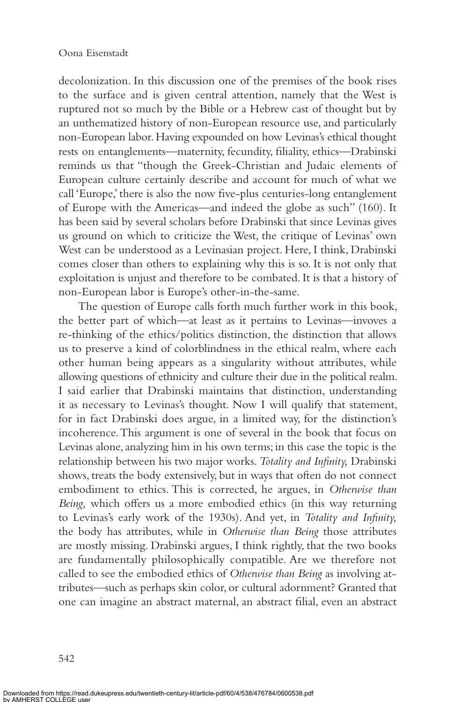decolonization. In this discussion one of the premises of the book rises to the surface and is given central attention, namely that the West is ruptured not so much by the Bible or a Hebrew cast of thought but by an unthematized history of non-European resource use, and particularly non-European labor. Having expounded on how Levinas's ethical thought rests on entanglements—maternity, fecundity, filiality, ethics—Drabinski reminds us that "though the Greek-Christian and Judaic elements of European culture certainly describe and account for much of what we call 'Europe,' there is also the now five-plus centuries-long entanglement of Europe with the Americas—and indeed the globe as such" (160). It has been said by several scholars before Drabinski that since Levinas gives us ground on which to criticize the West, the critique of Levinas' own West can be understood as a Levinasian project. Here, I think, Drabinski comes closer than others to explaining why this is so. It is not only that exploitation is unjust and therefore to be combated. It is that a history of non-European labor is Europe's other-in-the-same.

 The question of Europe calls forth much further work in this book, the better part of which—at least as it pertains to Levinas—invoves a re-thinking of the ethics/politics distinction, the distinction that allows us to preserve a kind of colorblindness in the ethical realm, where each other human being appears as a singularity without attributes, while allowing questions of ethnicity and culture their due in the political realm. I said earlier that Drabinski maintains that distinction, understanding it as necessary to Levinas's thought. Now I will qualify that statement, for in fact Drabinski does argue, in a limited way, for the distinction's incoherence. This argument is one of several in the book that focus on Levinas alone, analyzing him in his own terms; in this case the topic is the relationship between his two major works. *Totality and Infinity,* Drabinski shows, treats the body extensively, but in ways that often do not connect embodiment to ethics. This is corrected, he argues, in *Otherwise than Being,* which offers us a more embodied ethics (in this way returning to Levinas's early work of the 1930s). And yet, in *Totality and Infinity,* the body has attributes, while in *Otherwise than Being* those attributes are mostly missing. Drabinski argues, I think rightly, that the two books are fundamentally philosophically compatible. Are we therefore not called to see the embodied ethics of *Otherwise than Being* as involving attributes—such as perhaps skin color, or cultural adornment? Granted that one can imagine an abstract maternal, an abstract filial, even an abstract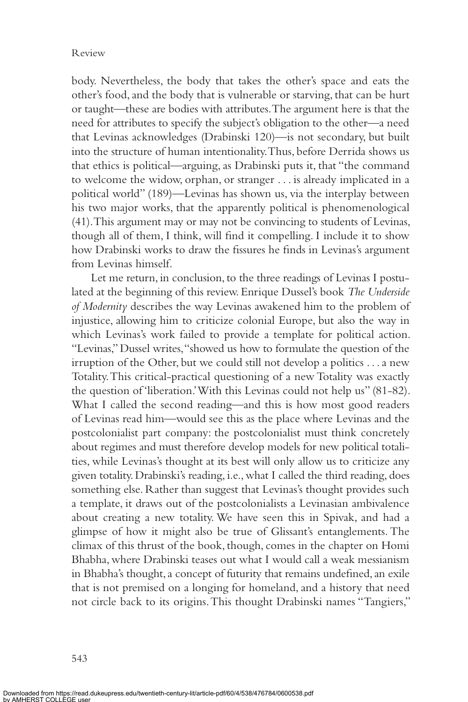body. Nevertheless, the body that takes the other's space and eats the other's food, and the body that is vulnerable or starving, that can be hurt or taught—these are bodies with attributes. The argument here is that the need for attributes to specify the subject's obligation to the other—a need that Levinas acknowledges (Drabinski 120)—is not secondary, but built into the structure of human intentionality. Thus, before Derrida shows us that ethics is political—arguing, as Drabinski puts it, that "the command to welcome the widow, orphan, or stranger . . . is already implicated in a political world" (189)—Levinas has shown us, via the interplay between his two major works, that the apparently political is phenomenological (41). This argument may or may not be convincing to students of Levinas, though all of them, I think, will find it compelling. I include it to show how Drabinski works to draw the fissures he finds in Levinas's argument from Levinas himself.

 Let me return, in conclusion, to the three readings of Levinas I postulated at the beginning of this review. Enrique Dussel's book *The Underside of Modernity* describes the way Levinas awakened him to the problem of injustice, allowing him to criticize colonial Europe, but also the way in which Levinas's work failed to provide a template for political action. "Levinas," Dussel writes, "showed us how to formulate the question of the irruption of the Other, but we could still not develop a politics . . . a new Totality. This critical-practical questioning of a new Totality was exactly the question of 'liberation.' With this Levinas could not help us" (81-82). What I called the second reading—and this is how most good readers of Levinas read him—would see this as the place where Levinas and the postcolonialist part company: the postcolonialist must think concretely about regimes and must therefore develop models for new political totalities, while Levinas's thought at its best will only allow us to criticize any given totality. Drabinski's reading, i.e., what I called the third reading, does something else. Rather than suggest that Levinas's thought provides such a template, it draws out of the postcolonialists a Levinasian ambivalence about creating a new totality. We have seen this in Spivak, and had a glimpse of how it might also be true of Glissant's entanglements. The climax of this thrust of the book, though, comes in the chapter on Homi Bhabha, where Drabinski teases out what I would call a weak messianism in Bhabha's thought, a concept of futurity that remains undefined, an exile that is not premised on a longing for homeland, and a history that need not circle back to its origins. This thought Drabinski names "Tangiers,"